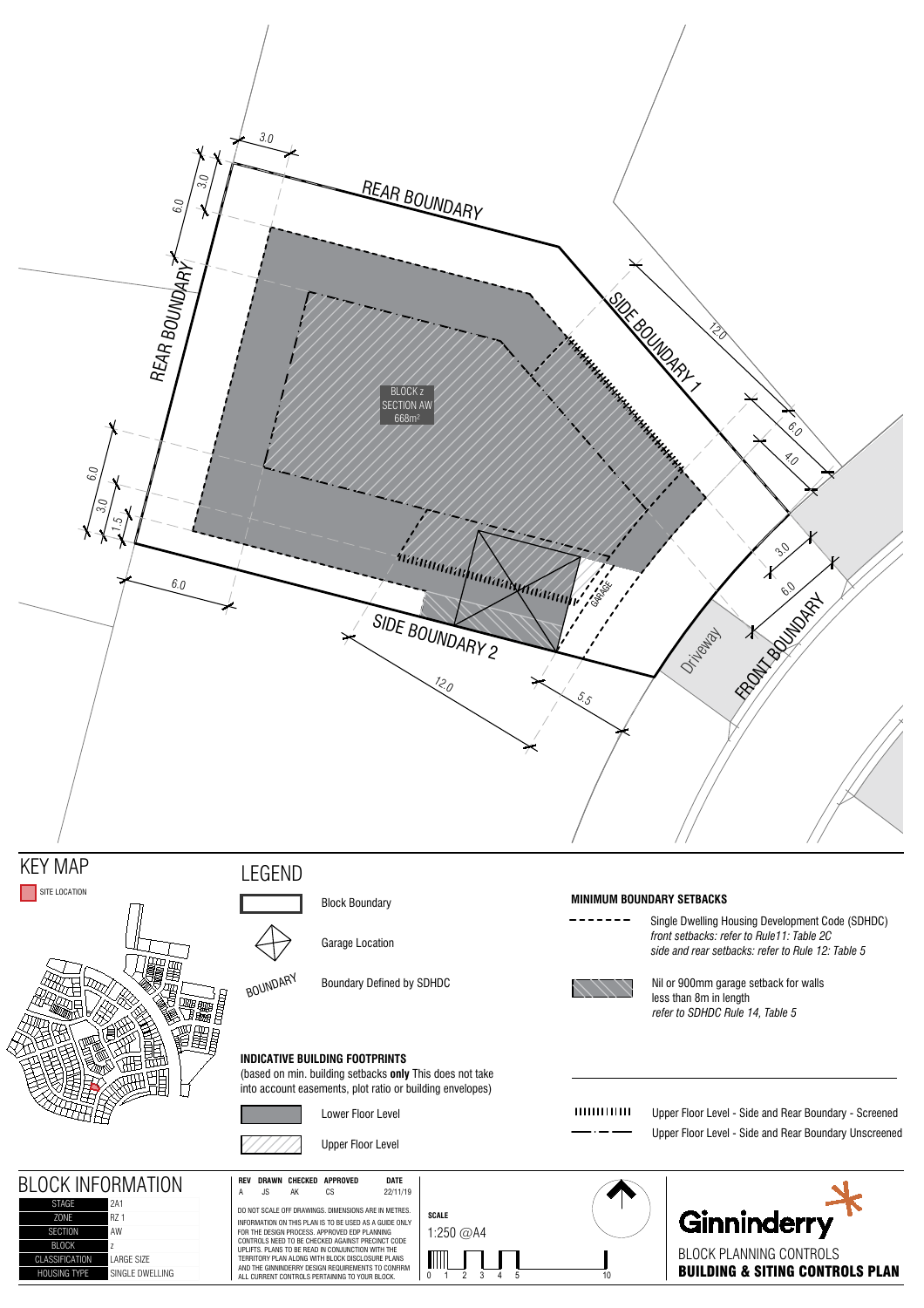